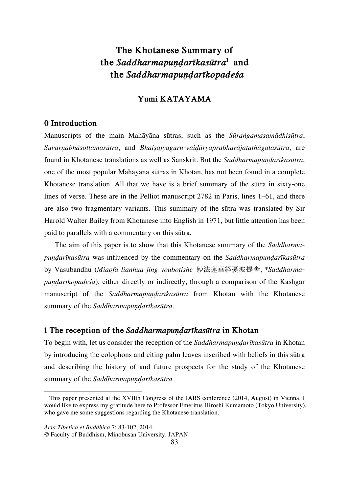# **The Khotanese Summary of the** *Saddharmapuṇḍarīkasūtra***<sup>1</sup> and the** *Saddharmapuṇḍarīkopadeśa*

# **Yumi KATAYAMA**

# **0 Introduction**

Manuscripts of the main Mahāyāna sūtras, such as the *Śūraṅgamasamādhisūtra*, *Suvarṇabhāsottamasūtra*, and *Bhaiṣajyaguru-vaiḍūryaprabharājatathāgatasūtra*, are found in Khotanese translations as well as Sanskrit. But the *Saddharmapuṇḍarīkasūtra*, one of the most popular Mahāyāna sūtras in Khotan, has not been found in a complete Khotanese translation. All that we have is a brief summary of the sūtra in sixty-one lines of verse. These are in the Pelliot manuscript 2782 in Paris, lines 1–61, and there are also two fragmentary variants. This summary of the sūtra was translated by Sir Harold Walter Bailey from Khotanese into English in 1971, but little attention has been paid to parallels with a commentary on this sūtra.

The aim of this paper is to show that this Khotanese summary of the *Saddharmapuṇḍarīkasūtra* was influenced by the commentary on the *Saddharmapuṇḍarīkasūtra* by Vasubandhu (*Miaofa lianhua jing youbotishe* 妙法蓮華経憂波提舎, \**Saddharmapuṇḍarīkopadeśa*), either directly or indirectly, through a comparison of the Kashgar manuscript of the *Saddharmapuṇḍarīkasūtra* from Khotan with the Khotanese summary of the *Saddharmapundarīkasūtra*.

#### **1 The reception of the** *Saddharmapuṇḍarīkasūtra* **in Khotan**

To begin with, let us consider the reception of the *Saddharmapuṇḍarīkasūtra* in Khotan by introducing the colophons and citing palm leaves inscribed with beliefs in this sūtra and describing the history of and future prospects for the study of the Khotanese summary of the *Saddharmapuṇḍarīkasūtra.*

l

<sup>&</sup>lt;sup>1</sup> This paper presented at the XVIIth Congress of the IABS conference (2014, August) in Vienna. I would like to express my gratitude here to Professor Emeritus Hiroshi Kumamoto (Tokyo University), who gave me some suggestions regarding the Khotanese translation.

*Acta Tibetica et Buddhica* 7: 83-102, 2014.

<sup>©</sup> Faculty of Buddhism, Minobusan University, JAPAN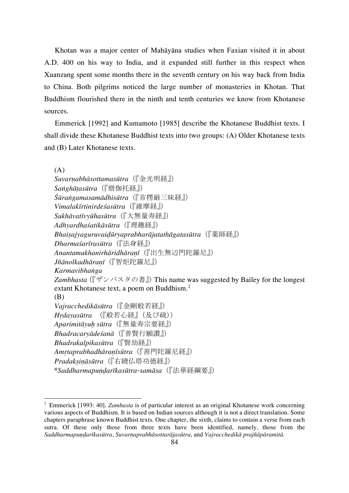Khotan was a major center of Mahāyāna studies when Faxian visited it in about A.D. 400 on his way to India, and it expanded still further in this respect when Xuanzang spent some months there in the seventh century on his way back from India to China. Both pilgrims noticed the large number of monasteries in Khotan. That Buddhism flourished there in the ninth and tenth centuries we know from Khotanese sources.

Emmerick [1992] and Kumamoto [1985] describe the Khotanese Buddhist texts. I shall divide these Khotanese Buddhist texts into two groups: (A) Older Khotanese texts and (B) Later Khotanese texts.

(A) *Suvarṇabhāsottamasūtra*(『金光明経』) *Saṅghāṭasūtra*(『僧伽托経』) *Śūraṅgamasamādhisūtra*(『首楞厳三昧経』) *Vimalakīrtinirdeśasūtra*(『維摩経』) *Sukhāvatīvyūhasūtra*(『大無量寿経』) *Adhyardhaśatikāsūtra*(『理趣経』) *Bhaiṣajyaguruvaiḍūryaprabharājatathāgatasūtra*(『薬師経』) *Dharmaśarīrasūtra*(『法身経』) *Anantamukhanirhāridhāraṇī*(『出生無辺門陀羅尼』) *Jñānolkadhāraṇī*(『智炬陀羅尼』) *Karmavibhaṅga* Zambhasta (『ザンバスタの書』) This name was suggested by Bailey for the longest extant Khotanese text, a poem on Buddhism.<sup>2</sup> (B) *Vajracchedikāsūtra*(『金剛般若経』) *Hṛdayasūtra* (『般若心経』(及び疏)) *Aparimitāyuḥ sūtra*(『無量寿宗要経』) *Bhadracaryādeśanā*(『普賢行願讃』) *Bhadrakalpikasūtra*(『賢劫経』) *Amṛtaprabhadhāraṇīsūtra*(『善門陀羅尼経』) *Pradakṣiṇāsūtra*(『右繞仏塔功徳経』) \**Saddharmapuṇḍarīkasūtra-samāsa*(『法華経綱要』)

<sup>2</sup> Emmerick [1993: 40]. *Zambasta* is of particular interest as an original Khotanese work concerning various aspects of Buddhism. It is based on Indian sources although it is not a direct translation. Some chapters paraphrase known Buddhist texts. One chapter, the sixth, claims to contain a verse from each sutra. Of these only those from three texts have been identified, namely, those from the Saddharmapundarīkasūtra, Suvarnaprabhāsottarājasūtra, and Vajracchedikā prajñāpāramitā.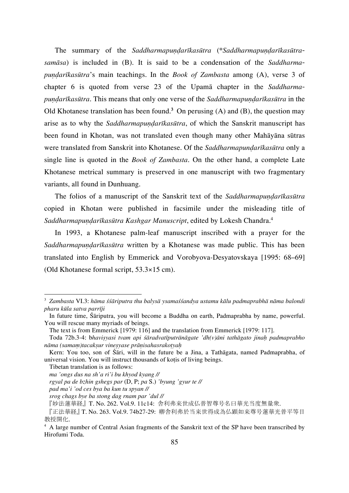The summary of the *Saddharmapundarīkasūtra* (\**Saddharmapundarīkasūtrasamāsa*) is included in (B). It is said to be a condensation of the *Saddharmapuṇḍarīkasūtra*'s main teachings. In the *Book of Zambasta* among (A), verse 3 of chapter 6 is quoted from verse 23 of the Upamā chapter in the *Saddharmapuṇḍarīkasūtra*. This means that only one verse of the *Saddharmapuṇḍarīkasūtra* in the Old Khotanese translation has been found.**<sup>3</sup>** On perusing (A) and (B), the question may arise as to why the *SaddharmapundarIkasūtra*, of which the Sanskrit manuscript has been found in Khotan, was not translated even though many other Mahāyāna sūtras were translated from Sanskrit into Khotanese. Of the *Saddharmapunḍarīkasūtra* only a single line is quoted in the *Book of Zambasta*. On the other hand, a complete Late Khotanese metrical summary is preserved in one manuscript with two fragmentary variants, all found in Dunhuang.

The folios of a manuscript of the Sanskrit text of the *Saddharmapundarīkasūtra* copied in Khotan were published in facsimile under the misleading title of *Saddharmapuṇḍarīkasūtra Kashgar Manuscript*, edited by Lokesh Chandra.4

In 1993, a Khotanese palm-leaf manuscript inscribed with a prayer for the *Saddharmapuṇḍarīkasūtra* written by a Khotanese was made public. This has been translated into English by Emmerick and Vorobyova-Desyatovskaya [1995: 68–69] (Old Khotanese formal script, 53.3×15 cm).

Tibetan translation is as follows:

 $\overline{a}$ 

*pad ma'i 'od ces bya ba kun tu spyan //*

<sup>3</sup> *Zambasta* VI.3: *häma śśāriputra thu balysä ysamaśśandya ustamu kālu padmaprabhä nāma balondi pharu kūla satva parrīji*

In future time, Śāriputra, you will become a Buddha on earth, Padmaprabha by name, powerful. You will rescue many myriads of beings.

The text is from Emmerick [1979: 116] and the translation from Emmerick [1979: 117].

Toda 72b.3-4: b*haviṣyasi tvam api śāradvatīputränāgate 'dh(v)āni tathāgato jinaḥ padmaprabho nāma (samaṃ)tacakṣur vineṣyase prāṇisahasrakoṭyaḥ*

Kern: You too, son of Śāri, will in the future be a Jina, a Tathāgata, named Padmaprabha, of universal vision. You will instruct thousands of kotis of living beings.

*ma 'ongs dus na sh'a ri'i bu khyod kyang //*

*rgyal pa de bzhin gshegs par* (D, P; *pa* S.) *'byung 'gyur te //*

*srog chags bye ba stong dag rnam par 'dul //*

<sup>『</sup>妙法蓮華経』T. No. 262. Vol.9. 11c14: 舎利弗来世成仏普智尊号名曰華光当度無量衆.

<sup>『</sup>正法華経』T. No. 263. Vol.9. 74b27-29: 卿舎利弗於当来世得成為仏顕如来尊号蓮華光普平等目 教授開化.

<sup>&</sup>lt;sup>4</sup> A large number of Central Asian fragments of the Sanskrit text of the SP have been transcribed by Hirofumi Toda.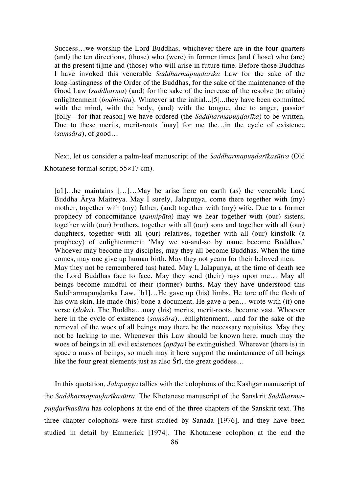Success…we worship the Lord Buddhas, whichever there are in the four quarters (and) the ten directions, (those) who (were) in former times [and (those) who (are) at the present ti]me and (those) who will arise in future time. Before those Buddhas I have invoked this venerable *Saddharmapundarka* Law for the sake of the long-lastingness of the Order of the Buddhas, for the sake of the maintenance of the Good Law (*saddharma*) (and) for the sake of the increase of the resolve (to attain) enlightenment (*bodhicitta*). Whatever at the initial...[5]...they have been committed with the mind, with the body, (and) with the tongue, due to anger, passion [folly—for that reason] we have ordered (the *Saddharmapundarka*) to be written. Due to these merits, merit-roots [may] for me the…in the cycle of existence (*saṃsāra*), of good…

Next, let us consider a palm-leaf manuscript of the *Saddharmapundarīkasūtra* (Old Khotanese formal script, 55×17 cm).

[a1]…he maintains […]…May he arise here on earth (as) the venerable Lord Buddha Ārya Maitreya. May I surely, Jalapunya, come there together with  $(my)$ mother, together with (my) father, (and) together with (my) wife. Due to a former prophecy of concomitance (*sannipāta*) may we hear together with (our) sisters, together with (our) brothers, together with all (our) sons and together with all (our) daughters, together with all (our) relatives, together with all (our) kinsfolk (a prophecy) of enlightenment: 'May we so-and-so by name become Buddhas.' Whoever may become my disciples, may they all become Buddhas. When the time comes, may one give up human birth. May they not yearn for their beloved men. May they not be remembered (as) hated. May I, Jalapunya, at the time of death see the Lord Buddhas face to face. May they send (their) rays upon me… May all beings become mindful of their (former) births. May they have understood this Saddharmapundarīka Law. [b1]…He gave up (his) limbs. He tore off the flesh of his own skin. He made (his) bone a document. He gave a pen... wrote with (it) one verse (*śloka*). The Buddha...may (his) merits, merit-roots, become vast. Whoever here in the cycle of existence (*samsara*)...enlightenment...and for the sake of the removal of the woes of all beings may there be the necessary requisites. May they not be lacking to me. Whenever this Law should be known here, much may the woes of beings in all evil existences (*apāya)* be extinguished. Wherever (there is) in space a mass of beings, so much may it here support the maintenance of all beings like the four great elements just as also Śrī, the great goddess…

In this quotation, *Jalapunya* tallies with the colophons of the Kashgar manuscript of the *Saddharmapuṇḍarīkasūtra*. The Khotanese manuscript of the Sanskrit *Saddharmapuṇḍarīkasūtra* has colophons at the end of the three chapters of the Sanskrit text. The three chapter colophons were first studied by Sanada [1976], and they have been studied in detail by Emmerick [1974]. The Khotanese colophon at the end the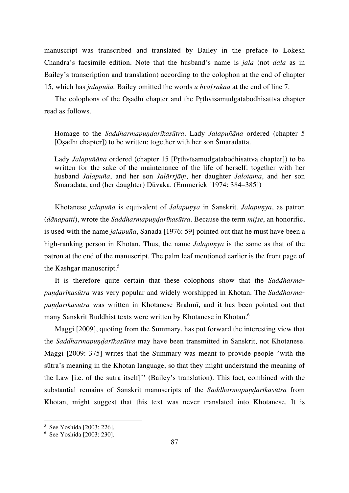manuscript was transcribed and translated by Bailey in the preface to Lokesh Chandra's facsimile edition. Note that the husband's name is *jala* (not *dala* as in Bailey's transcription and translation) according to the colophon at the end of chapter 15, which has *jalapuña.* Bailey omitted the words *u hvā[rakaa* at the end of line 7.

The colophons of the Oṣadhī chapter and the Pṛthvīsamudgatabodhisattva chapter read as follows.

Homage to the *Saddharmapuṇḍarīkasūtra*. Lady *Jalapuñāna* ordered (chapter 5 [Oṣadhī chapter]) to be written: together with her son Śmaradatta.

Lady *Jalapuñāna* ordered (chapter 15 [Pṛthvīsamudgatabodhisattva chapter]) to be written for the sake of the maintenance of the life of herself: together with her husband *Jalapuña*, and her son *Jalārrjāṃ*, her daughter *Jalotama*, and her son Śmaradata, and (her daughter) Dūvaka. (Emmerick [1974: 384–385])

Khotanese *jalapuña* is equivalent of *Jalapuṇya* in Sanskrit. *Jalapuṇya*, as patron (*dānapatti*), wrote the *Saddharmapuṇḍarīkasūtra*. Because the term *mijse*, an honorific, is used with the name *jalapuña*, Sanada [1976: 59] pointed out that he must have been a high-ranking person in Khotan. Thus, the name *Jalapuṇya* is the same as that of the patron at the end of the manuscript. The palm leaf mentioned earlier is the front page of the Kashgar manuscript.<sup>5</sup>

It is therefore quite certain that these colophons show that the *Saddharmapuṇḍarīkasūtra* was very popular and widely worshipped in Khotan. The *Saddharmapuṇḍarīkasūtra* was written in Khotanese Brahmī, and it has been pointed out that many Sanskrit Buddhist texts were written by Khotanese in Khotan.<sup>6</sup>

Maggi [2009], quoting from the Summary, has put forward the interesting view that the *Saddharmapuṇḍarīkasūtra* may have been transmitted in Sanskrit, not Khotanese. Maggi [2009: 375] writes that the Summary was meant to provide people "with the sūtra's meaning in the Khotan language, so that they might understand the meaning of the Law [i.e. of the sutra itself]'' (Bailey's translation). This fact, combined with the substantial remains of Sanskrit manuscripts of the *Saddharmapundarīkasūtra* from Khotan, might suggest that this text was never translated into Khotanese. It is

l

<sup>5</sup> See Yoshida [2003: 226].

<sup>6</sup> See Yoshida [2003: 230].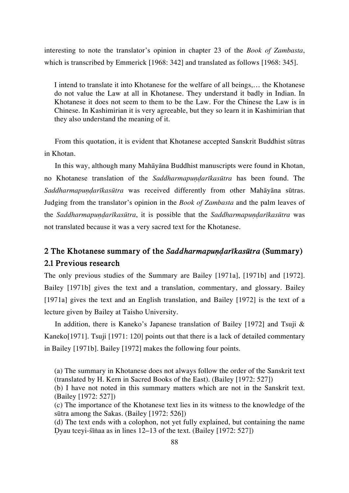interesting to note the translator's opinion in chapter 23 of the *Book of Zambasta*, which is transcribed by Emmerick [1968: 342] and translated as follows [1968: 345].

I intend to translate it into Khotanese for the welfare of all beings,… the Khotanese do not value the Law at all in Khotanese. They understand it badly in Indian. In Khotanese it does not seem to them to be the Law. For the Chinese the Law is in Chinese. In Kashimirian it is very agreeable, but they so learn it in Kashimirian that they also understand the meaning of it.

From this quotation, it is evident that Khotanese accepted Sanskrit Buddhist sūtras in Khotan.

In this way, although many Mahāyāna Buddhist manuscripts were found in Khotan, no Khotanese translation of the *Saddharmapuṇḍarīkasūtra* has been found. The *Saddharmapuṇḍarīkasūtra* was received differently from other Mahāyāna sūtras. Judging from the translator's opinion in the *Book of Zambasta* and the palm leaves of the *Saddharmapuṇḍarīkasūtra*, it is possible that the *Saddharmapuṇḍarīkasūtra* was not translated because it was a very sacred text for the Khotanese.

# **2 The Khotanese summary of the** *Saddharmapuṇḍarīkasūtra* **(Summary) 2.1 Previous research**

The only previous studies of the Summary are Bailey [1971a], [1971b] and [1972]. Bailey [1971b] gives the text and a translation, commentary, and glossary. Bailey [1971a] gives the text and an English translation, and Bailey [1972] is the text of a lecture given by Bailey at Taisho University.

In addition, there is Kaneko's Japanese translation of Bailey [1972] and Tsuji & Kaneko[1971]. Tsuji [1971: 120] points out that there is a lack of detailed commentary in Bailey [1971b]. Bailey [1972] makes the following four points.

<sup>(</sup>a) The summary in Khotanese does not always follow the order of the Sanskrit text (translated by H. Kern in Sacred Books of the East). (Bailey [1972: 527])

<sup>(</sup>b) I have not noted in this summary matters which are not in the Sanskrit text. (Bailey [1972: 527])

<sup>(</sup>c) The importance of the Khotanese text lies in its witness to the knowledge of the sūtra among the Sakas. (Bailey [1972: 526])

<sup>(</sup>d) The text ends with a colophon, not yet fully explained, but containing the name Ḍyau tceyi-śīṅaa as in lines 12–13 of the text. (Bailey [1972: 527])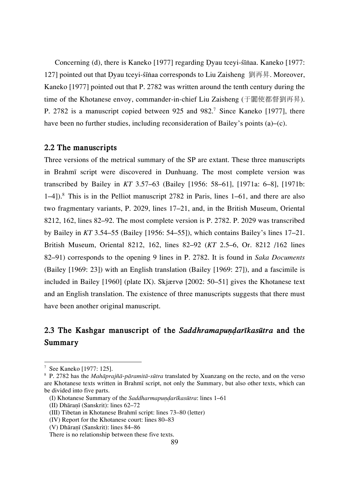Concerning (d), there is Kaneko [1977] regarding Ḍyau tceyi-śīṅaa. Kaneko [1977: 127] pointed out that Ḍyau tceyi-śīṅaa corresponds to Liu Zaisheng 劉再昇. Moreover, Kaneko [1977] pointed out that P. 2782 was written around the tenth century during the time of the Khotanese envoy, commander-in-chief Liu Zaisheng (于闐使都督劉再昇). P. 2782 is a manuscript copied between 925 and 982.7 Since Kaneko [1977], there have been no further studies, including reconsideration of Bailey's points (a)–(c).

## **2.2 The manuscripts**

Three versions of the metrical summary of the SP are extant. These three manuscripts in Brahmī script were discovered in Dunhuang. The most complete version was transcribed by Bailey in *KT* 3.57–63 (Bailey [1956: 58–61], [1971a: 6–8], [1971b: 1–4]).<sup>8</sup> This is in the Pelliot manuscript 2782 in Paris, lines 1–61, and there are also two fragmentary variants, P. 2029, lines 17–21, and, in the British Museum, Oriental 8212, 162, lines 82–92. The most complete version is P. 2782. P. 2029 was transcribed by Bailey in *KT* 3.54–55 (Bailey [1956: 54–55]), which contains Bailey's lines 17–21. British Museum, Oriental 8212, 162, lines 82–92 (*KT* 2.5–6, Or. 8212 /162 lines 82–91) corresponds to the opening 9 lines in P. 2782. It is found in *Saka Documents* (Bailey [1969: 23]) with an English translation (Bailey [1969: 27]), and a fascimile is included in Bailey [1960] (plate IX). Skjærvø [2002: 50–51] gives the Khotanese text and an English translation. The existence of three manuscripts suggests that there must have been another original manuscript.

# **2.3 The Kashgar manuscript of the** *Saddhramapuṇḍarīkasūtra* **and the Summary**

<sup>7</sup> See Kaneko [1977: 125].

<sup>8</sup> P. 2782 has the *Mahāprajñā-pāramitā-sūtra* translated by Xuanzang on the recto, and on the verso are Khotanese texts written in Brahmī script, not only the Summary, but also other texts, which can be divided into five parts.

<sup>(</sup>I) Khotanese Summary of the *Saddharmapuṇḍarīkasūtra*: lines 1–61

<sup>(</sup>II) Dhāraṇī (Sanskrit): lines 62–72

<sup>(</sup>III) Tibetan in Khotanese Brahmī script: lines 73–80 (letter)

<sup>(</sup>IV) Report for the Khotanese court: lines 80–83

<sup>(</sup>V) Dhāraṇī (Sanskrit): lines 84–86

There is no relationship between these five texts.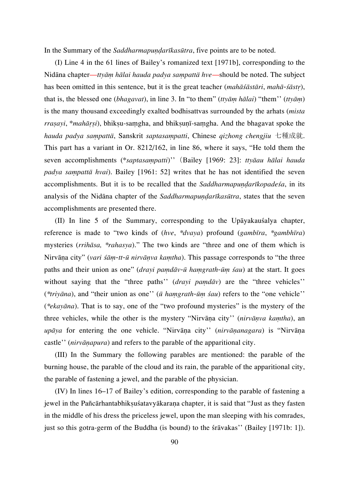In the Summary of the *Saddharmapuṇḍarīkasūtra*, five points are to be noted.

(I) Line 4 in the 61 lines of Bailey's romanized text [1971b], corresponding to the Nidāna chapter—*ttyāṃ hālai hauda padya saṃpattä hve—*should be noted. The subject has been omitted in this sentence, but it is the great teacher (*mahāśāstāri*, *mahā-śāstṛ*), that is, the blessed one (*bhagavat*), in line 3. In "to them" (*ttyāṃ hālai*) "them'' (*ttyāṃ*) is the many thousand exceedingly exalted bodhisattvas surrounded by the arhats (*mista rraṣayi*, \**mahāṛṣi*), bhikṣu-saṃgha, and bhikṣuṇī-saṃgha. And the bhagavat spoke the *hauda padya saṃpattä*, Sanskrit *saptasaṃpatti*, Chinese *qizhong chengjiu* 七種成就. This part has a variant in Or. 8212/162, in line 86, where it says, "He told them the seven accomplishments (\**saptasaṃpatti*)''(Bailey [1969: 23]: *ttyāau hālai hauda padya saṃpattä hvai*). Bailey [1961: 52] writes that he has not identified the seven accomplishments. But it is to be recalled that the *Saddharmapuṇḍarīkopadeśa*, in its analysis of the Nidana chapter of the *SaddharmapundarIkasūtra*, states that the seven accomplishments are presented there.

(II) In line 5 of the Summary, corresponding to the Upāyakauśalya chapter, reference is made to "two kinds of (*hve*, *\*dvaya*) profound (*gambīra*, *\*gambhīra*) mysteries (*rrihāsa, \*rahasya*)." The two kinds are "three and one of them which is Nirvāṇa city" (*vari śāṃ-tt-ū nirvāṇva kaṃtha*). This passage corresponds to "the three paths and their union as one" (*drayi paṃdāv-ū haṃgrath-ūṃ śau*) at the start. It goes without saying that the "three paths'' (*drayi paṃdāv*) are the "three vehicles'' (*\*triyāna*), and "their union as one'' (*ū haṃgrath-ūṃ śau*) refers to the "one vehicle'' (*\*ekayāna*). That is to say, one of the "two profound mysteries" is the mystery of the three vehicles, while the other is the mystery "Nirvāṇa city'' (*nirvāṇva kaṃtha*), an *upāya* for entering the one vehicle. "Nirvāṇa city'' (*nirvāṇanagara*) is "Nirvāṇa castle'' (*nirvāṇapura*) and refers to the parable of the apparitional city.

(III) In the Summary the following parables are mentioned: the parable of the burning house, the parable of the cloud and its rain, the parable of the apparitional city, the parable of fastening a jewel, and the parable of the physician.

(IV) In lines 16–17 of Bailey's edition, corresponding to the parable of fastening a jewel in the Pañcārhantabhiksuśatavyākarana chapter, it is said that "Just as they fasten in the middle of his dress the priceless jewel, upon the man sleeping with his comrades, just so this gotra-germ of the Buddha (is bound) to the śrāvakas'' (Bailey [1971b: 1]).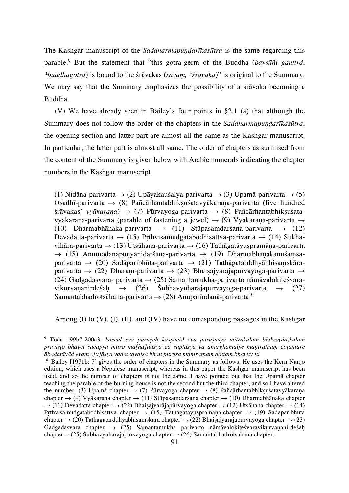The Kashgar manuscript of the *Saddharmapuṇḍarīkasūtra* is the same regarding this parable.<sup>9</sup> But the statement that "this gotra-germ of the Buddha (*baysūñi gautträ*, *\*buddhagotra*) is bound to the śrāvakas (*ṣāvāṃ, \*śrāvaka*)" is original to the Summary. We may say that the Summary emphasizes the possibility of a śrāvaka becoming a Buddha.

(V) We have already seen in Bailey's four points in §2.1 (a) that although the Summary does not follow the order of the chapters in the *SaddharmapundarIkasūtra*, the opening section and latter part are almost all the same as the Kashgar manuscript. In particular, the latter part is almost all same. The order of chapters as surmised from the content of the Summary is given below with Arabic numerals indicating the chapter numbers in the Kashgar manuscript.

(1) Nidāna-parivarta → (2) Upāyakauśalya-parivarta → (3) Upamā-parivarta → (5) Osadhī-parivarta  $\rightarrow$  (8) Pañcārhantabhiksuśatavyākarana-parivarta (five hundred śrāvakas' *vyākaraṇa*) → (7) Pūrvayoga-parivarta → (8) Pañcārhantabhikṣuśatavyākarana-parivarta (parable of fastening a jewel)  $\rightarrow$  (9) Vyākarana-parivarta  $\rightarrow$ (10) Dharmabhānaka-parivarta  $\rightarrow$  (11) Stūpasamdarśana-parivarta  $\rightarrow$  (12) Devadatta-parivarta  $\rightarrow$  (15) Prthvīsamudgatabodhisattva-parivarta  $\rightarrow$  (14) Sukhavihāra-parivarta  $\rightarrow$  (13) Utsāhana-parivarta  $\rightarrow$  (16) Tathāgatāyuspramāna-parivarta  $\rightarrow$  (18) Anumodanāpunyanidarśana-parivarta  $\rightarrow$  (19) Dharmabhānakānuśamsaparivarta  $\rightarrow$  (20) Sadāparibhūta-parivarta  $\rightarrow$  (21) Tathāgatarddhyābhisamskāraparivarta → (22) Dhāraṇī-parivarta → (23) Bhaiṣajyarājapūrvayoga-parivarta → (24) Gadgadasvara- parivarta  $\rightarrow$  (25) Samantamukha-parivarto nāmāvalokiteśvaravikurvananirdeśah  $\rightarrow$  (26) Śubhavyūharājapūrvayoga-parivarta  $\rightarrow$  (27) Samantabhadrotsāhana-parivarta  $\rightarrow$  (28) Anuparīndanā-parivarta<sup>10</sup>

Among  $(I)$  to  $(V)$ ,  $(I)$ ,  $(II)$ , and  $(IV)$  have no corresponding passages in the Kashgar

<sup>9</sup> Toda 199b7-200a3: *kaścid eva puruṣaḥ kasyacid eva puruṣasya mitrākulaṃ bhikṣā(da)kulaṃ praviṣṭo bhavet sacāpya mitro ma[ha]ttasya cā suptasya vā anarghamulye maṇiratnaṃ coṭāntare ābadhnīyād evaṃ c[y]āsya vadet tavaiṣa bhau puruṣa maṇiratnaṃ dattaṃ bhavitv iti*

<sup>&</sup>lt;sup>10</sup> Bailey [1971b: 7] gives the order of chapters in the Summary as follows. He uses the Kern-Nanjo edition, which uses a Nepalese manuscript, whereas in this paper the Kashgar manuscript has been used, and so the number of chapters is not the same. I have pointed out that the Upamā chapter teaching the parable of the burning house is not the second but the third chapter, and so I have altered the number. (3) Upamā chapter  $\rightarrow$  (7) Pūrvayoga chapter  $\rightarrow$  (8) Pañcārhantabhikṣuśatavyākaraṇa chapter → (9) Vyākaraṇa chapter → (11) Stūpasaṃdarśana chapter → (10) Dharmabhāṇaka chapter  $\rightarrow$  (11) Devadatta chapter  $\rightarrow$  (22) Bhaiṣajyarājapūrvayoga chapter  $\rightarrow$  (12) Utsāhana chapter  $\rightarrow$  (14) Prthvīsamudgatabodhisattva chapter  $\rightarrow$  (15) Tathāgatāyuspramāna-chapter  $\rightarrow$  (19) Sadāparibhūta chapter  $\rightarrow$  (20) Tathāgatarddhyābhisaṃskāra chapter  $\rightarrow$  (22) Bhaiṣajyarājapūrvayoga chapter  $\rightarrow$  (23) Gadgadasvara chapter  $\rightarrow$  (25) Samantamukha parivarto nāmāvalokiteśvaravikurvananirdeśah chapter→ (25) Śubhavyūharājapūrvayoga chapter → (26) Samantabhadrotsāhana chapter.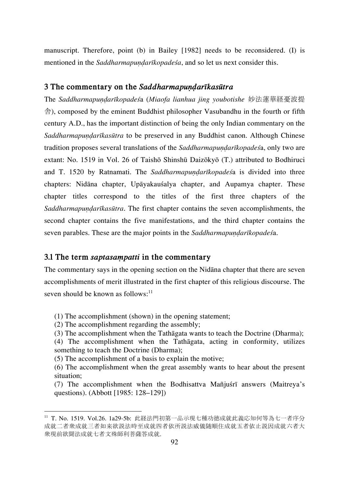manuscript. Therefore, point (b) in Bailey [1982] needs to be reconsidered. (I) is mentioned in the *Saddharmapundarīkopadesa*, and so let us next consider this.

### **3 The commentary on the** *Saddharmapuṇḍarīkasūtra*

The *Saddharmapuṇḍarīkopadeś*a (*Miaofa lianhua jing youbotishe* 妙法蓮華経憂波提 舎), composed by the eminent Buddhist philosopher Vasubandhu in the fourth or fifth century A.D., has the important distinction of being the only Indian commentary on the *Saddharmapuṇḍarīkasūtra* to be preserved in any Buddhist canon. Although Chinese tradition proposes several translations of the *Saddharmapuṇḍarīkopadeś*a, only two are extant: No. 1519 in Vol. 26 of Taishō Shinshū Daizōkyō (T.) attributed to Bodhiruci and T. 1520 by Ratnamati. The *Saddharmapuṇḍarīkopadeś*a is divided into three chapters: Nidāna chapter, Upāyakauśalya chapter, and Aupamya chapter. These chapter titles correspond to the titles of the first three chapters of the *Saddharmapuṇḍarīkasūtra*. The first chapter contains the seven accomplishments, the second chapter contains the five manifestations, and the third chapter contains the seven parables. These are the major points in the *Saddharmapundarīkopade* śa.

#### **3.1 The term** *saptasaṃpatti* **in the commentary**

The commentary says in the opening section on the Nidāna chapter that there are seven accomplishments of merit illustrated in the first chapter of this religious discourse. The seven should be known as follows: $11$ 

(1) The accomplishment (shown) in the opening statement;

(2) The accomplishment regarding the assembly;

l

(3) The accomplishment when the Tathāgata wants to teach the Doctrine (Dharma);

(4) The accomplishment when the Tathāgata, acting in conformity, utilizes something to teach the Doctrine (Dharma);

(5) The accomplishment of a basis to explain the motive;

(6) The accomplishment when the great assembly wants to hear about the present situation;

(7) The accomplishment when the Bodhisattva Mañjuśrī answers (Maitreya's questions). (Abbott [1985: 128–129])

<sup>11</sup> T. No. 1519. Vol.26. 1a29-5b: 此経法門初第一品示現七種功徳成就此義応知何等為七一者序分 成就二者衆成就三者如来欲説法時至成就四者依所説法威儀随順住成就五者依止説因成就六者大 衆現前欲聞法成就七者文殊師利菩薩答成就.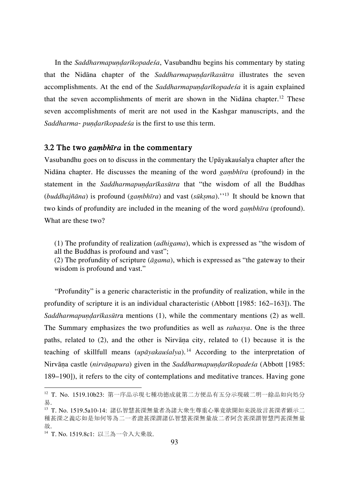In the *Saddharmapundarīkopadesa*, Vasubandhu begins his commentary by stating that the Nidāna chapter of the *SaddharmapundarIkasūtra* illustrates the seven accomplishments. At the end of the *SaddharmapundarIkopadesa* it is again explained that the seven accomplishments of merit are shown in the Nidana chapter.<sup>12</sup> These seven accomplishments of merit are not used in the Kashgar manuscripts, and the *Saddharma- puṇḍarīkopadeśa* is the first to use this term.

### **3.2 The two** *gaṃbhīra* **in the commentary**

Vasubandhu goes on to discuss in the commentary the Upāyakauśalya chapter after the Nidāna chapter. He discusses the meaning of the word *gaṃbhīra* (profound) in the statement in the *Saddharmapundarīkasūtra* that "the wisdom of all the Buddhas (*buddhajñāna*) is profound (*gaṃbhīra*) and vast (*sūkṣma*).''<sup>13</sup> It should be known that two kinds of profundity are included in the meaning of the word *gaṃbhīra* (profound). What are these two?

(1) The profundity of realization (*adhigama*), which is expressed as "the wisdom of all the Buddhas is profound and vast";

(2) The profundity of scripture (*āgama*), which is expressed as "the gateway to their wisdom is profound and vast."

"Profundity" is a generic characteristic in the profundity of realization, while in the profundity of scripture it is an individual characteristic (Abbott [1985: 162–163]). The *Saddharmapuṇḍarīkasūtr*a mentions (1), while the commentary mentions (2) as well. The Summary emphasizes the two profundities as well as *rahasya*. One is the three paths, related to (2), and the other is Nirvāṇa city, related to (1) because it is the teaching of skillfull means (*upāyakauśalya*). <sup>14</sup> According to the interpretation of Nirvāṇa castle (*nirvāṇapura*) given in the *Saddharmapuṇḍarīkopadeśa* (Abbott [1985: 189–190]), it refers to the city of contemplations and meditative trances. Having gone

<sup>12</sup> T. No. 1519.10b23: 第一序品示現七種功徳成就第二方便品有五分示現破二明一餘品如向処分 易.

<sup>13</sup> T. No. 1519.5a10-14: 諸仏智慧甚深無量者為諸大衆生尊重心畢竟欲聞如来説故言甚深者顕示二 種甚深之義応如是知何等為二一者證甚深謂諸仏智慧甚深無量故二者阿含甚深謂智慧門甚深無量 故.

<sup>14</sup> T. No. 1519.8c1: 以三為一令入大乗故.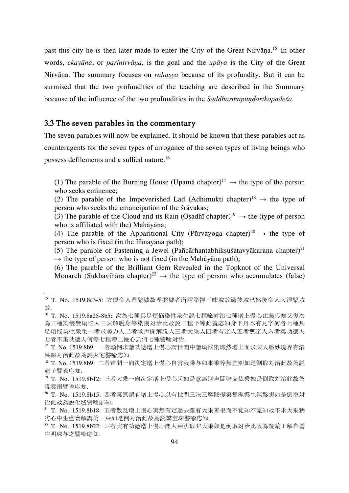past this city he is then later made to enter the City of the Great Nirvāna.<sup>15</sup> In other words, *ekayāna*, or *parinirvāṇa*, is the goal and the *upāya* is the City of the Great Nirvāṇa. The summary focuses on *rahasya* because of its profundity. But it can be surmised that the two profundities of the teaching are described in the Summary because of the influence of the two profundities in the *SaddharmapundarIkopadesa*.

#### **3.3 The seven parables in the commentary**

 $\overline{a}$ 

The seven parables will now be explained. It should be known that these parables act as counteragents for the seven types of arrogance of the seven types of living beings who possess defilements and a sullied nature.<sup>16</sup>

(1) The parable of the Burning House (Upamā chapter)<sup>17</sup>  $\rightarrow$  the type of the person who seeks eminence;

(2) The parable of the Impoverished Lad (Adhimukti chapter)<sup>18</sup>  $\rightarrow$  the type of person who seeks the emancipation of the śrāvakas;

(3) The parable of the Cloud and its Rain (Osadhī chapter)<sup>19</sup>  $\rightarrow$  the (type of person who is affiliated with the) Mahāyāna;

(4) The parable of the Apparitional City (Pūrvayoga chapter)<sup>20</sup>  $\rightarrow$  the type of person who is fixed (in the Hīnayāna path);

(5) The parable of Fastening a Jewel (Pañcārhantabhikṣuśatavyākaraṇa chapter)<sup>21</sup>  $\rightarrow$  the type of person who is not fixed (in the Mah $\bar{a}$ yana path);

(6) The parable of the Brilliant Gem Revealed in the Topknot of the Universal Monarch (Sukhavihāra chapter)<sup>22</sup>  $\rightarrow$  the type of person who accumulates (false)

<sup>15</sup> T. No. 1519.8c3-5: 方便令入涅槃城故涅槃城者所謂諸禅三昧城故過彼城已然後令入大涅槃城 故.

<sup>16</sup> T. No. 1519.8a25-8b5: 次為七種具足煩悩染性衆生説七種喩対治七種増上慢心此義応知又復次 為三種染慢無煩悩人三昧解脱身等染慢対治此故説三種平等此義応知身下丹本有見字何者七種具 足煩悩染性衆生一者求勢力人二者求声聞解脱人三者大乗人四者有定人五者無定人六者集功徳人 七者不集功徳人何等七種増上慢心云何七種譬喩対治.

<sup>17</sup> T. No. 1519.8b9: 一者顛倒求諸功徳増上慢心謂世間中諸煩悩染熾然増上而求天人勝妙境界有漏 果報対治此故為説火宅譬喩応知.

<sup>18</sup> T. No. 1519.8b9: 二者声聞一向決定増上慢心自言我乗与如来乗等無差別如是倒取対治此故為説 窮子譬喩応知.

<sup>19</sup> T. No. 1519.8b12: 三者大乗一向決定増上慢心起如是意無別声聞辟支仏乗如是倒取対治此故為 説雲雨譬喩応知.

<sup>20</sup> T. No. 1519.8b15: 四者実無謂有増上慢心以有世間三昧三摩跋提実無涅槃生涅槃想如是倒取対 治此故為説化城譬喩応知.

<sup>21</sup> T. No. 1519.8b18: 五者散乱増上慢心実無有定過去雖有大乗善根而不覚知不覚知故不求大乗狭 劣心中生虚妄解謂第一乗如是倒対治此故為説繋宝珠譬喩応知.

<sup>22</sup> T. No. 1519.8b22: 六者実有功徳増上慢心聞大乗法取非大乗如是倒取対治此故為説輪王解自髻 中明珠与之譬喩応知.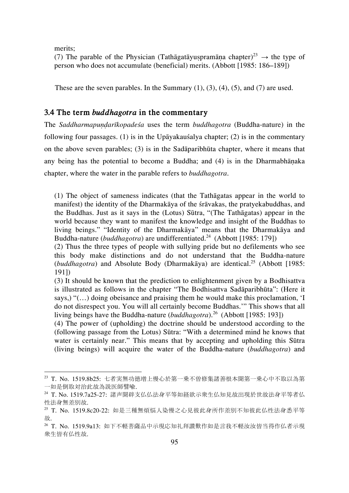merits;

 $\overline{a}$ 

(7) The parable of the Physician (Tathāgatāyuspramāna chapter)<sup>23</sup>  $\rightarrow$  the type of person who does not accumulate (beneficial) merits. (Abbott [1985: 186–189])

These are the seven parables. In the Summary  $(1)$ ,  $(3)$ ,  $(4)$ ,  $(5)$ , and  $(7)$  are used.

# **3.4 The term** *buddhagotra* **in the commentary**

The *Saddharmapuṇḍarīkopadeśa* uses the term *buddhagotra* (Buddha-nature) in the following four passages. (1) is in the Upāyakauśalya chapter; (2) is in the commentary on the above seven parables; (3) is in the Sadāparibhūta chapter, where it means that any being has the potential to become a Buddha; and (4) is in the Dharmabhāṇaka chapter, where the water in the parable refers to *buddhagotra*.

(1) The object of sameness indicates (that the Tathāgatas appear in the world to manifest) the identity of the Dharmakāya of the śrāvakas, the pratyekabuddhas, and the Buddhas. Just as it says in the (Lotus) Sūtra, "(The Tathāgatas) appear in the world because they want to manifest the knowledge and insight of the Buddhas to living beings." "Identity of the Dharmakāya" means that the Dharmakāya and Buddha-nature (*buddhagotra*) are undifferentiated.<sup>24</sup> (Abbott [1985: 179])

(2) Thus the three types of people with sullying pride but no defilements who see this body make distinctions and do not understand that the Buddha-nature (*buddhagotra*) and Absolute Body (Dharmakāya) are identical.25 (Abbott [1985: 191])

(3) It should be known that the prediction to enlightenment given by a Bodhisattva is illustrated as follows in the chapter "The Bodhisattva Sadāparibhūta": (Here it says,) "(…) doing obeisance and praising them he would make this proclamation, 'I do not disrespect you. You will all certainly become Buddhas.'" This shows that all living beings have the Buddha-nature (*buddhagotra*).<sup>26</sup> (Abbott [1985: 193])

(4) The power of (upholding) the doctrine should be understood according to the (following passage from the Lotus) Sūtra: "With a determined mind he knows that water is certainly near." This means that by accepting and upholding this Sūtra (living beings) will acquire the water of the Buddha-nature (*buddhagotra*) and

<sup>23</sup> T. No. 1519.8b25: 七者実無功徳増上慢心於第一乗不曽修集諸善根本聞第一乗心中不取以為第 一如是倒取対治此故為説医師譬喩.

<sup>24</sup> T. No. 1519.7a25-27: 諸声聞辟支仏仏法身平等如経欲示衆生仏知見故出現於世故法身平等者仏 性法身無差別故.

<sup>25</sup> T. No. 1519.8c20-22: 如是三種無煩悩人染慢之心見彼此身所作差別不知彼此仏性法身悉平等 故.

<sup>26</sup> T. No. 1519.9a13: 如下不軽菩薩品中示現応知礼拜讃歎作如是言我不軽汝汝皆当得作仏者示現 衆生皆有仏性故.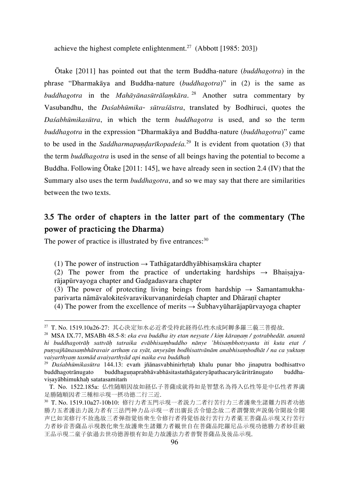achieve the highest complete enlightenment.<sup>27</sup> (Abbott [1985: 203])

Ōtake [2011] has pointed out that the term Buddha-nature (*buddhagotra*) in the phrase "Dharmakāya and Buddha-nature (*buddhagotra*)" in (2) is the same as *buddhagotra* in the *Mahāyānasūtrālaṃkāra*. <sup>28</sup> Another sutra commentary by Vasubandhu, the *Daśabhūmika- sūtraśāstra*, translated by Bodhiruci, quotes the *Daśabhūmikasūtra*, in which the term *buddhagotra* is used, and so the term *buddhagotra* in the expression "Dharmakāya and Buddha-nature (*buddhagotra*)" came to be used in the *Saddharmapundarīkopadeśa*.<sup>29</sup> It is evident from quotation (3) that the term *buddhagotra* is used in the sense of all beings having the potential to become a Buddha. Following Ōtake [2011: 145], we have already seen in section 2.4 (IV) that the Summary also uses the term *buddhagotra*, and so we may say that there are similarities between the two texts.

# **3.5 The order of chapters in the latter part of the commentary (The power of practicing the Dharma)**

The power of practice is illustrated by five entrances:<sup>30</sup>

l

(3) The power of protecting living beings from hardship  $\rightarrow$  Samantamukhaparivarta nāmāvalokiteśvaravikurvaṇanirdeśaḥ chapter and Dhāraṇī chapter

<sup>(1)</sup> The power of instruction  $\rightarrow$  Tathāgatarddhyābhisamskāra chapter

<sup>(2)</sup> The power from the practice of undertaking hardships  $\rightarrow$  Bhaisajyarājapūrvayoga chapter and Gadgadasvara chapter

<sup>(4)</sup> The power from the excellence of merits  $\rightarrow$  Śubhavyūharājapūrvayoga chapter

<sup>27</sup> T. No. 1519.10a26-27: 其心決定知水必近者受持此経得仏性水成阿耨多羅三藐三菩提故.

<sup>28</sup> MSA IX.77, MSABh 48.5-8: *eka eva buddha ity etan neṣyate / kiṃ kāraṇaṃ / gotrabhedāt. anantā hi buddhagotrāḥ sattvāḥ tatraika evābhisaṃbuddho nānye 'bhisaṃbhotsyanta iti kuta etat /*  punyajñānasambhāravair artham ca svāt, anyesām bodhisattvānām anabhisambodhāt / na ca yuktam *vaiyarthyaṃ tasmād avaiyarthyād api naika eva buddhaḥ*

<sup>29</sup> *Daśabhūmikasūtra* 144.13: evaṁ jñānasvabhinirhṛtaḥ khalu punar bho jinaputra bodhisattvo buddhagotrānugato buddhaguṇaprabhāvabhāsitastathāgateryāpathacaryācāritrānugato buddhavisayābhimukhah satatasamitam

T. No. 1522.185a: 仏性随順因故如経仏子菩薩成就得如是智慧名為得入仏性等是中仏性者界満 足勝随順因者三種相示現一摂功徳二行三近.

<sup>30</sup> T. No. 1519.10a27-10b10: 修行力者五門示現一者説力二者行苦行力三者護衆生諸難力四者功徳 勝力五者護法力説力者有三法門神力品示現一者出廣長舌令憶念故二者謂謦欬声説偈令聞故令聞 声已如実修行不放逸故三者弾指覚悟衆生令修行者得覚悟故行苦行力者薬王菩薩品示現又行苦行 力者妙音菩薩品示現教化衆生故護衆生諸難力者観世自在菩薩品陀羅尼品示現功徳勝力者妙荘厳 王品示現二童子依過去世功徳善根有如是力故護法力者普賢菩薩品及後品示現.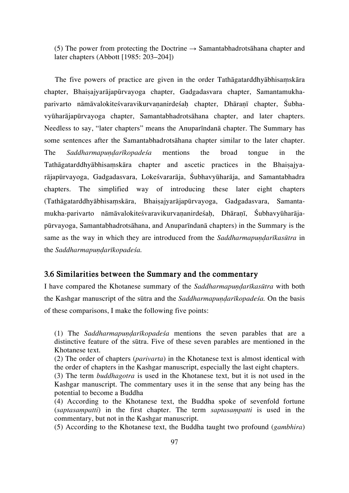(5) The power from protecting the Doctrine  $\rightarrow$  Samantabhadrotsāhana chapter and later chapters (Abbott [1985: 203–204])

The five powers of practice are given in the order Tathāgatarddhyābhisaṃskāra chapter, Bhaiṣajyarājapūrvayoga chapter, Gadgadasvara chapter, Samantamukhaparivarto nāmāvalokiteśvaravikurvaṇanirdeśaḥ chapter, Dhāraṇī chapter, Śubhavyūharājapūrvayoga chapter, Samantabhadrotsāhana chapter, and later chapters. Needless to say, "later chapters" means the Anuparīndanā chapter. The Summary has some sentences after the Samantabhadrotsāhana chapter similar to the later chapter. The *Saddharmapuṇḍarīkopadeśa* mentions the broad tongue in the Tathāgatarddhyābhisaṃskāra chapter and ascetic practices in the Bhaiṣajyarājapūrvayoga, Gadgadasvara, Lokeśvararāja, Śubhavyūharāja, and Samantabhadra chapters. The simplified way of introducing these later eight chapters (Tathāgatarddhyābhisaṃskāra, Bhaiṣajyarājapūrvayoga, Gadgadasvara, Samantamukha-parivarto nāmāvalokiteśvaravikurvaṇanirdeśaḥ, Dhāraṇī, Śubhavyūharājapūrvayoga, Samantabhadrotsāhana, and Anuparīndanā chapters) in the Summary is the same as the way in which they are introduced from the *Saddharmapuṇḍarīkasūtra* in the *Saddharmapuṇḍarīkopadeśa.*

#### **3.6 Similarities between the Summary and the commentary**

I have compared the Khotanese summary of the *SaddharmapundarIkasūtra* with both the Kashgar manuscript of the sūtra and the *Saddharmapuṇḍarīkopadeśa.* On the basis of these comparisons, I make the following five points:

- (2) The order of chapters (*parivarta*) in the Khotanese text is almost identical with the order of chapters in the Kashgar manuscript, especially the last eight chapters.
- (3) The term *buddhagotra* is used in the Khotanese text, but it is not used in the Kashgar manuscript. The commentary uses it in the sense that any being has the potential to become a Buddha
- (4) According to the Khotanese text, the Buddha spoke of sevenfold fortune (*saptasaṃpatti*) in the first chapter. The term *saptasaṃpatti* is used in the commentary, but not in the Kashgar manuscript.
- (5) According to the Khotanese text, the Buddha taught two profound (*gambhira*)

<sup>(1)</sup> The *Saddharmapuṇḍarīkopadeśa* mentions the seven parables that are a distinctive feature of the sūtra. Five of these seven parables are mentioned in the Khotanese text.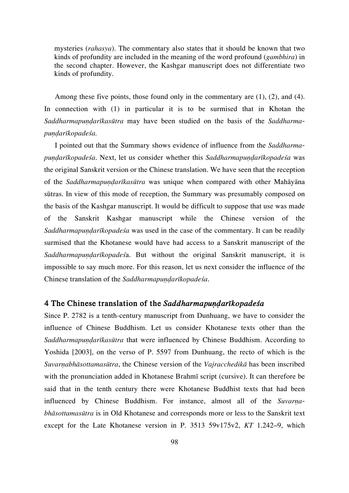mysteries (*rahasya*). The commentary also states that it should be known that two kinds of profundity are included in the meaning of the word profound (*gambhira*) in the second chapter. However, the Kashgar manuscript does not differentiate two kinds of profundity.

Among these five points, those found only in the commentary are  $(1)$ ,  $(2)$ , and  $(4)$ . In connection with (1) in particular it is to be surmised that in Khotan the *Saddharmapuṇḍarīkasūtra* may have been studied on the basis of the *Saddharmapuṇḍarīkopadeśa.*

I pointed out that the Summary shows evidence of influence from the *Saddharmapuṇḍarīkopadeśa*. Next, let us consider whether this *Saddharmapuṇḍarīkopadeśa* was the original Sanskrit version or the Chinese translation. We have seen that the reception of the *Saddharmapuṇḍarīkasūtra* was unique when compared with other Mahāyāna sūtras. In view of this mode of reception, the Summary was presumably composed on the basis of the Kashgar manuscript. It would be difficult to suppose that use was made of the Sanskrit Kashgar manuscript while the Chinese version of the *Saddharmapuṇḍarīkopadeśa* was used in the case of the commentary. It can be readily surmised that the Khotanese would have had access to a Sanskrit manuscript of the *Saddharmapuṇḍarīkopadeś*a. But without the original Sanskrit manuscript, it is impossible to say much more. For this reason, let us next consider the influence of the Chinese translation of the *Saddharmapuṇḍarīkopadeśa*.

#### **4 The Chinese translation of the** *Saddharmapuṇḍarīkopadeśa*

Since P. 2782 is a tenth-century manuscript from Dunhuang, we have to consider the influence of Chinese Buddhism. Let us consider Khotanese texts other than the *Saddharmapuṇḍarīkasūtra* that were influenced by Chinese Buddhism. According to Yoshida [2003], on the verso of P. 5597 from Dunhuang, the recto of which is the *Suvarṇabhāsottamasūtra*, the Chinese version of the *Vajracchedikā* has been inscribed with the pronunciation added in Khotanese Brahmī script (cursive). It can therefore be said that in the tenth century there were Khotanese Buddhist texts that had been influenced by Chinese Buddhism. For instance, almost all of the *Suvarṇabhāsottamasūtra* is in Old Khotanese and corresponds more or less to the Sanskrit text except for the Late Khotanese version in P. 3513 59v175v2, *KT* 1.242–9, which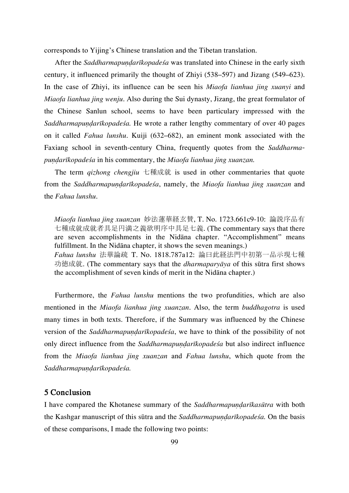corresponds to Yijing's Chinese translation and the Tibetan translation.

After the *Saddharmapuṇḍarīkopadeśa* was translated into Chinese in the early sixth century, it influenced primarily the thought of Zhiyi (538–597) and Jizang (549–623). In the case of Zhiyi, its influence can be seen his *Miaofa lianhua jing xuanyi* and *Miaofa lianhua jing wenju*. Also during the Sui dynasty, Jizang, the great formulator of the Chinese Sanlun school, seems to have been particulary impressed with the *Saddharmapuṇḍarīkopadeśa.* He wrote a rather lengthy commentary of over 40 pages on it called *Fahua lunshu*. Kuiji (632–682), an eminent monk associated with the Faxiang school in seventh-century China, frequently quotes from the *Saddharmapuṇḍarīkopadeśa* in his commentary, the *Miaofa lianhua jing xuanzan.*

The term *qizhong chengjiu* 七種成就 is used in other commentaries that quote from the *Saddharmapuṇḍarīkopadeśa*, namely, the *Miaofa lianhua jing xuanzan* and the *Fahua lunshu*.

*Miaofa lianhua jing xuanzan* 妙法蓮華経玄賛, T. No. 1723.661c9-10: 論説序品有 七種成就成就者具足円満之義欲明序中具足七義. (The commentary says that there are seven accomplishments in the Nidāna chapter. "Accomplishment" means fulfillment. In the Nidāna chapter, it shows the seven meanings.) *Fahua lunshu* 法華論疏 T. No. 1818.787a12: 論曰此経法門中初第一品示現七種 功徳成就. (The commentary says that the *dharmaparyāya* of this sūtra first shows the accomplishment of seven kinds of merit in the Nidāna chapter.)

Furthermore, the *Fahua lunshu* mentions the two profundities, which are also mentioned in the *Miaofa lianhua jing xuanzan*. Also, the term *buddhagotra* is used many times in both texts. Therefore, if the Summary was influenced by the Chinese version of the *Saddharmapuṇḍarīkopadeśa*, we have to think of the possibility of not only direct influence from the *Saddharmapuṇḍarīkopadeśa* but also indirect influence from the *Miaofa lianhua jing xuanzan* and *Fahua lunshu*, which quote from the *Saddharmapuṇḍarīkopadeśa.*

# **5 Conclusion**

I have compared the Khotanese summary of the *Saddharmapuṇḍarīkasūtra* with both the Kashgar manuscript of this sūtra and the *Saddharmapuṇḍarīkopadeśa.* On the basis of these comparisons, I made the following two points: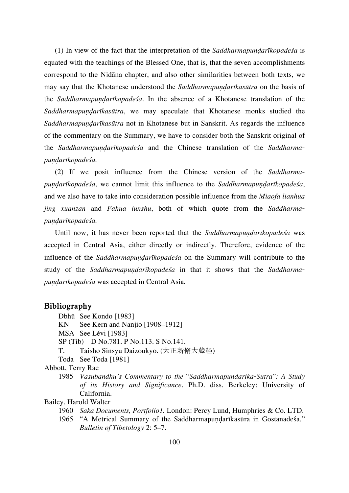(1) In view of the fact that the interpretation of the *Saddharmapuṇḍarīkopadeśa* is equated with the teachings of the Blessed One, that is, that the seven accomplishments correspond to the Nidāna chapter, and also other similarities between both texts, we may say that the Khotanese understood the *Saddharmapuṇḍarīkasūtra* on the basis of the *Saddharmapuṇḍarīkopadeśa*. In the absence of a Khotanese translation of the *Saddharmapuṇḍarīkasūtra*, we may speculate that Khotanese monks studied the *Saddharmapuṇḍarīkasūtra* not in Khotanese but in Sanskrit. As regards the influence of the commentary on the Summary, we have to consider both the Sanskrit original of the *Saddharmapuṇḍarīkopadeśa* and the Chinese translation of the *Saddharmapuṇḍarīkopadeśa.*

(2) If we posit influence from the Chinese version of the *Saddharmapuṇḍarīkopadeśa*, we cannot limit this influence to the *Saddharmapuṇḍarīkopadeśa*, and we also have to take into consideration possible influence from the *Miaofa lianhua jing xuanzan* and *Fahua lunshu*, both of which quote from the *Saddharmapuṇḍarīkopadeśa.*

Until now, it has never been reported that the *Saddharmapundarīkopadesa* was accepted in Central Asia, either directly or indirectly. Therefore, evidence of the influence of the *Saddharmapuṇḍarīkopadeśa* on the Summary will contribute to the study of the *Saddharmapundarīkopadeśa* in that it shows that the *Saddharmapuṇḍarīkopadeśa* was accepted in Central Asia*.*

# **Bibliography**

 Dbhū See Kondo [1983] KN See Kern and Nanjio [1908–1912] MSA See Lévi [1983] SP (Tib) D No.781. P No.113. S No.141. T. Taisho Sinsyu Daizoukyo. (大正新脩大蔵経) Toda See Toda [1981] Abbott, Terry Rae 1985 *Vasubandhu's Commentary to the* "*Saddharmapundarika-Sutra*"*: A Study of its History and Significance*. Ph.D. diss. Berkeley: University of California. Bailey, Harold Walter 1960 *Saka Documents, Portfolio1.* London: Percy Lund, Humphries & Co. LTD. 1965 "A Metrical Summary of the Saddharmapundarīkasūra in Gostanadeśa."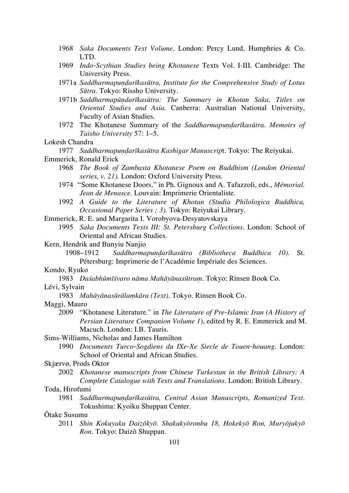- 1968 *Saka Documents Text Volume*. London: Percy Lund, Humphries & Co. LTD.
- 1969 *Indo-Scythian Studies being Khotanese* Texts Vol. I-III. Cambridge: The University Press.
- 1971a *Saddharmapuṇḍarīkasūtra, Institute for the Comprehensive Study of Lotus Sūtra*. Tokyo: Rissho University.
- 1971b *Saddharmapūṇdarīkasūtra: The Summary in Khotan Saka, Titles on Oriental Studies and Asia.* Canberra: Australian National University, Faculty of Asian Studies.
- 1972 The Khotanese Summary of the *Saddharmapuṇḍarīkasūtra*. *Memoirs of Taisho University* 57: 1–5.

#### Lokesh Chandra

1977 *Saddharmapuṇḍarīkasūtra Kashigar Manuscrip*t. Tokyo: The Reiyukai.

- Emmerick, Ronald Erick
	- 1968 *The Book of Zambasta Khotanese Poem on Buddhism (London Oriental series, v. 21).* London: Oxford University Press.
	- 1974 "Some Khotanese Doors." in Ph. Gignoux and A. Tafazzoli, eds., *Mémorial. Jean de Menasce.* Louvain: **I**mprimerie Orientaliste.
	- 1992 *A Guide to the Literature of Khotan (Studia Philologica Buddhica, Occasional Paper Series ; 3).* Tokyo: Reiyukai Library.

Emmerick, R. E. and Margarita I. Vorobyova-Desyatovskaya

 1995 *Saka Documents Texts III: St. Petersburg Collections*. London: School of Oriental and African Studies.

Kern, Hendrik and Bunyiu Nanjio

 1908–1912 *Saddharmapuṇḍarīkasūtra (Bibliotheca Buddhica 10).* St. Pétersburg: Imprimerie de l'Académie Impériale des Sciences.

#### Kondo, Ryuko

1983 *Daśabhūmīśvaro nāma Mahāyānasūtraṃ*. Tokyo: Rinsen Book Co.

#### Lévi, Sylvain

- 1983 *Mahāyānasūrālaṃkāra (Text)*. Tokyo. Rinsen Book Co.
- Maggi, Mauro
	- 2009 "Khotanese Literature." in *The Literature of Pre-Islamic Iran (A History of Persian Literature Companion Volume 1*), edited by R. E. Emmerick and M. Macuch. London: I.B. Tauris.

Sims-Williams, Nicholas and James Hamilton

 1990 *Documents Turco-Sogdiens du IXe-Xe Siecle de Touen-houang*. London: School of Oriental and African Studies.

#### Skjærvø, Prods Oktor

 2002 *Khotanese manuscripts from Chinese Turkestan in the British Library: A Complete Catalogue with Texts and Translations.* London: British Library.

#### Toda, Hirofumi

 1981 *Saddharmapuṇḍarīkasūtra, Central Asian Manuscripts, Romanized Text*. Tokushima: Kyoiku Shuppan Center.

### Ōtake Susumu

 2011 *Shin Kokuyaku Daizōkyō. Shakukyōronbu 18, Hokekyō Ron, Muryōjukyō Ron*. Tokyo: Daizō Shuppan.